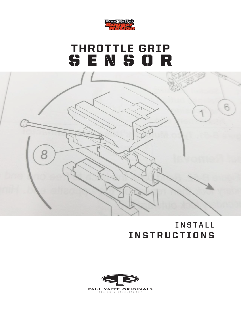

## THROTTLE GRIP SENSOR

8



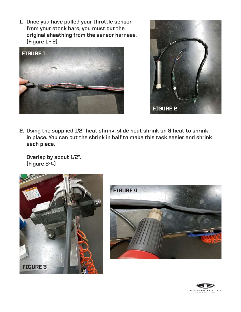**Once you have pulled your throttle sensor**  1. **from your stock bars, you must cut the original sheathing from the sensor harness. (Figure 1 - 2)**





**Using the supplied 1/2" heat shrink, slide heat shrink on & heat to shrink**  2. **in place. You can cut the shrink in half to make this task easier and shrink each piece.** 

**Overlap by about 1/2". (Figure 3-4)**





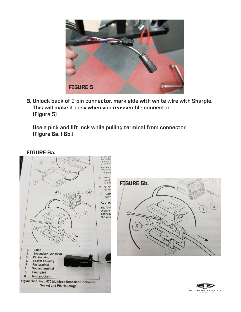

**Unlock back of 2-pin connector, mark side with white wire with Sharpie.**  3. **This will make it easy when you reassemble connector. (Figure 5)**

**Use a pick and lift lock while pulling terminal from connector (Figure 6a. | 6b.)**

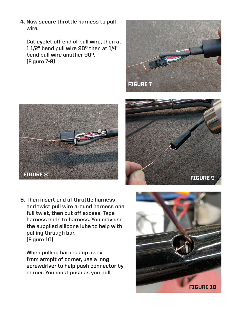**Now secure throttle harness to pull**  4. **wire.** 

**Cut eyelet off end of pull wire, then at 1 1/2" bend pull wire 90o then at 1/4" bend pull wire another 90o. (Figure 7-9)**







**Then insert end of throttle harness**  5.**and twist pull wire around harness one full twist, then cut off excess. Tape harness ends to harness. You may use the supplied silicone lube to help with pulling through bar. (Figure 10)**

**When pulling harness up away from armpit of corner, use a long screwdriver to help push connector by corner. You must push as you pull.** 

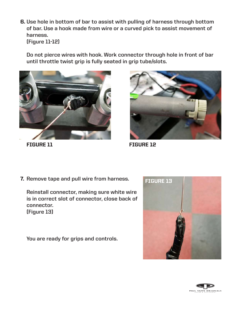**Use hole in bottom of bar to assist with pulling of harness through bottom**  6. **of bar. Use a hook made from wire or a curved pick to assist movement of harness. (Figure 11-12)**

**Do not pierce wires with hook. Work connector through hole in front of bar until throttle twist grip is fully seated in grip tube/slots.**





FIGURE 11 FIGURE 12

**7.** Remove tape and pull wire from harness. **FIGURE 13** 

**Reinstall connector, making sure white wire is in correct slot of connector, close back of connector. (Figure 13)**

**You are ready for grips and controls.**